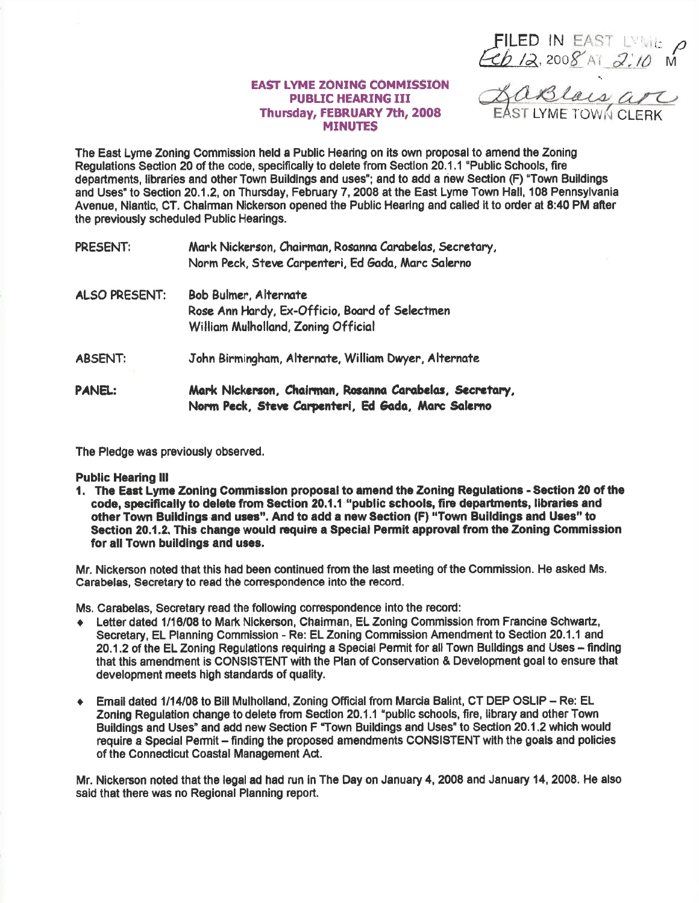FILED IN EAST DIE P<br>Feb 12.2008 AT 2:10 M

## **EAST LYME ZONING COMMISSION PUBLIC HEARING III** Thursday, FEBRUARY 7th, 2008 **MINUTES**

The East Lyme Zoning Commission held a Public Hearing on its own proposal to amend the Zoning Regulations Section 20 of the code, specifically to delete from Section 20.1.1 "Public Schools. fire departments, libraries and other Town Buildings and uses"; and to add a new Section (F) "Town Buildings and Uses" to Section 20.1.2, on Thursday, February 7, 2008 at the East Lyme Town Hall, 108 Pennsylvania Avenue, Niantic, CT. Chairman Nickerson opened the Public Hearing and called it to order at 8:40 PM after the previously scheduled Public Hearings.

| PRESENT:             | Mark Nickerson, Chairman, Rosanna Carabelas, Secretary,<br>Norm Peck, Steve Carpenteri, Ed Gada, Marc Salerno  |
|----------------------|----------------------------------------------------------------------------------------------------------------|
| <b>ALSO PRESENT:</b> | Bob Bulmer, Alternate<br>Rose Ann Hardy, Ex-Officio, Board of Selectmen<br>William Mulholland, Zoning Official |
| <b>ABSENT:</b>       | John Birmingham, Alternate, William Dwyer, Alternate                                                           |
| PANEL:               | Mark Nickerson, Chairman, Rosanna Carabelas, Secretary<br>Norm Peck, Steve Carpenteri, Ed Gada, Marc Salerno   |

The Pledge was previously observed.

**Public Hearing III** 

1. The East Lyme Zoning Commission proposal to amend the Zoning Regulations - Section 20 of the code, specifically to delete from Section 20.1.1 "public schools, fire departments, libraries and other Town Buildings and uses". And to add a new Section (F) "Town Buildings and Uses" to Section 20.1.2. This change would require a Special Permit approval from the Zoning Commission for all Town buildings and uses.

Mr. Nickerson noted that this had been continued from the last meeting of the Commission. He asked Ms. Carabelas, Secretary to read the correspondence into the record.

Ms. Carabelas, Secretary read the following correspondence into the record:

- Letter dated 1/16/08 to Mark Nickerson, Chairman, EL Zoning Commission from Francine Schwartz,  $\bullet$ Secretary, EL Planning Commission - Re: EL Zoning Commission Amendment to Section 20.1.1 and 20.1.2 of the EL Zoning Regulations requiring a Special Permit for all Town Buildings and Uses - finding that this amendment is CONSISTENT with the Plan of Conservation & Development goal to ensure that development meets high standards of quality.
- Email dated 1/14/08 to Bill Mulholland, Zoning Official from Marcia Balint, CT DEP OSLIP Re: EL  $\ddot{\bullet}$ Zoning Regulation change to delete from Section 20.1.1 "public schools, fire, library and other Town Buildings and Uses" and add new Section F "Town Buildings and Uses" to Section 20.1.2 which would require a Special Permit - finding the proposed amendments CONSISTENT with the goals and policies of the Connecticut Coastal Management Act.

Mr. Nickerson noted that the legal ad had run in The Day on January 4, 2008 and January 14, 2008. He also said that there was no Regional Planning report.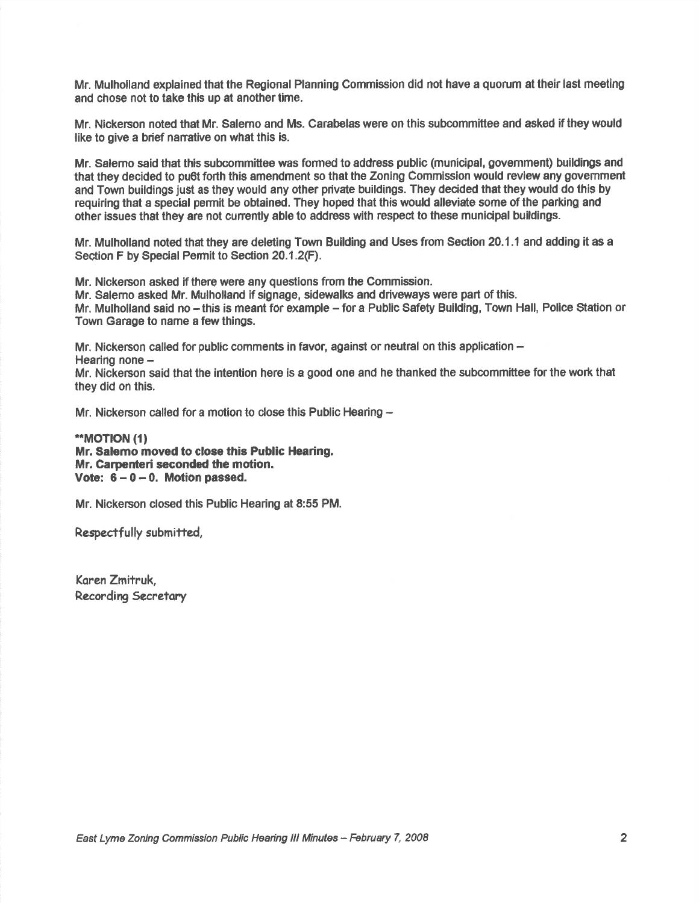Mr. Mulholland explained that the Regional Planning Commission did not have a quorum at their last meeting and chose not to take this up at another time.

Mr. Nickenson noted that Mr. Salemo and Ms. Carabelas were on this subcommittee and asked if they would like to give a brief narrative on what this is.

Mr. Salemo said that thls subcommittee was formed to eddress public (municipal, govemment) buildlngs and that they decided to pu6t forth this amendment so that the Zoning Commission would review any govemment and Town buildings just as they would any other private buildings. They decided that they would do this by requiring that a special permit be obtained. They hoped that this would alleviate some of the parking and other issues that they are not currently able to address with respect to these municipal buildings.

Mr. Mulholland noted that they are deleting Town Building and Uses from Section 20.1.1 and adding it as <sup>a</sup> Section F by Special Permit to Section 20.1.2(F).

Mr. Nickerson asked if there were any questions from the Commission.

Mr. Salemo asked Mr. Mulholland if signage, sidewalks and driveways were pafi of this.

Mr. Mulholland said no – this is meant for example – for a Public Safety Building, Town Hall, Police Station or Town Garage to name a few things.

Mr. Nickerson called for public comments in favor, against or neutral on this application  $-$ 

Hearing none -

Mr. Nickerson said that the intention here is a good one and he thanked the subcommittee for the work that they did on this.

Mr. Nickerson called for a motion to close this Public Hearing -

\*\*MOT|ON (1) Mr. Salemo moved to close this Public Hearing, Mr. Carpenteri seconded the motion. Vote:  $6 - 0 - 0$ . Motion passed.

Mr. Nickerson closed this Public Hearing at 8:55 PM.

Respectfully submitted,

Karen Zmitruk, Recording Secretary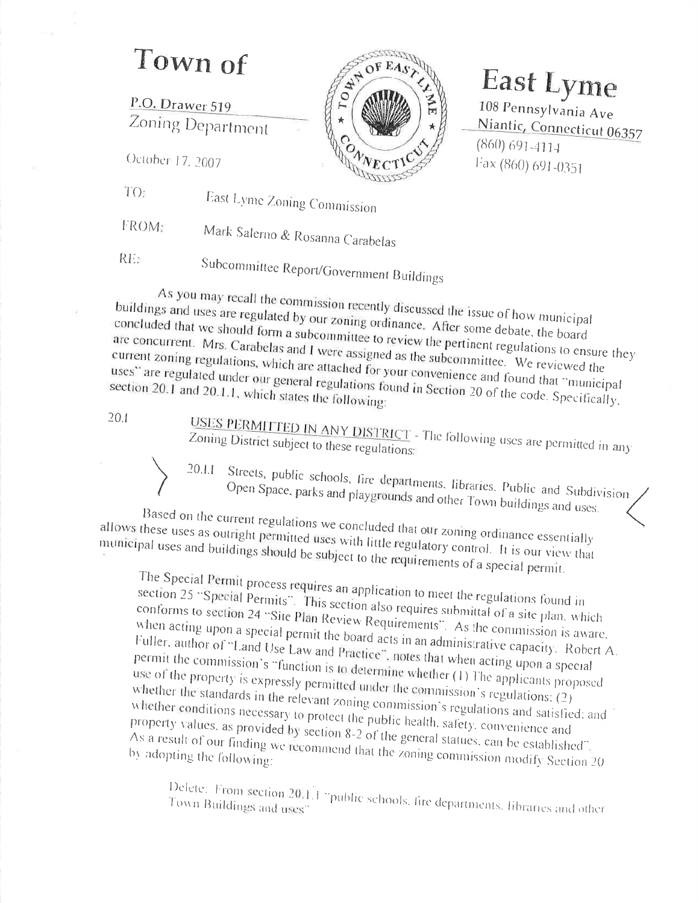## Town of

P.O. Drawer 519 Zoning Department TOWN  $o_{\!\sqrt{k}}$ 

## **East Lyme** 108 Pennsylvania Ave Niantic, Connecticut 06357  $(860)$  691-4114 Fax (860) 691-0351

October 17, 2007

 $TO<sub>2</sub>$ East Lyme Zoning Commission

FROM Mark Salerno & Rosanna Carabelas

RE

Subcommittee Report/Government Buildings

As you may recall the commission recently discussed the issue of how municipal buildings and uses are regulated by our zoning ordinance. After some debate, the board concluded that we should form a subcommittee to review the pertinent regulations to ensure they are concurrent. Mrs. Carabelas and I were assigned as the subcommittee. We reviewed the current zoning regulations, which are attached for your convenience and found that "municipal uses" are regulated under our general regulations found in Section 20 of the code. Specifically, section 20.1 and 20.1.1, which states the following:

 $20.1$ 

USES PERMITTED IN ANY DISTRICT - The following uses are permitted in any Zoning District subject to these regulations:

Streets, public schools, fire departments, libraries, Public and Subdivision 20.1.1 Open Space, parks and playgrounds and other Town buildings and uses.

Based on the current regulations we concluded that our zoning ordinance essentially allows these uses as outright permitted uses with little regulatory control. It is our view that municipal uses and buildings should be subject to the requirements of a special permit.

The Special Permit process requires an application to meet the regulations found in section 25 "Special Permits". This section also requires submittal of a site plan. which conforms to section 24 "Site Plan Review Requirements". As the commission is aware. when acting upon a special permit the board acts in an administrative capacity. Robert A. Fuller, author of "Land Use Law and Practice", notes that when acting upon a special permit the commission's "function is to determine whether (1) The applicants proposed use of the property is expressly permitted under the commission s regulations: (2) whether the standards in the relevant zoning commission's regulations and satisfied; and whether conditions necessary to protect the public health, safety, convenience and property values, as provided by section 8-2 of the general statues, can be established. As a result of our finding we recommend that the zoning commission modify Section 20 by adopting the following:

Delete: From section 20.1.1 "public schools, fire departments, libraries and other